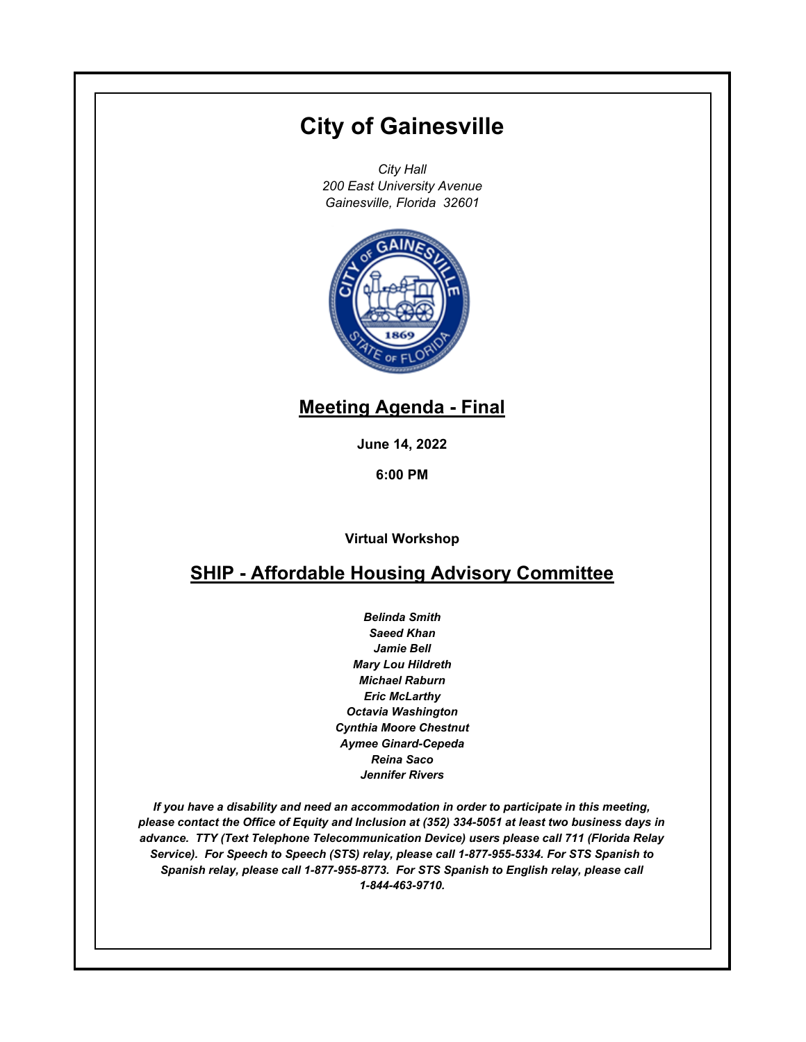# **City of Gainesville**

*City Hall 200 East University Avenue Gainesville, Florida 32601*



# **Meeting Agenda - Final**

**June 14, 2022**

**6:00 PM**

**Virtual Workshop**

## **SHIP - Affordable Housing Advisory Committee**

*Belinda Smith Saeed Khan Jamie Bell Mary Lou Hildreth Michael Raburn Eric McLarthy Octavia Washington Cynthia Moore Chestnut Aymee Ginard-Cepeda Reina Saco Jennifer Rivers*

*If you have a disability and need an accommodation in order to participate in this meeting, please contact the Office of Equity and Inclusion at (352) 334-5051 at least two business days in advance. TTY (Text Telephone Telecommunication Device) users please call 711 (Florida Relay Service). For Speech to Speech (STS) relay, please call 1-877-955-5334. For STS Spanish to Spanish relay, please call 1-877-955-8773. For STS Spanish to English relay, please call 1-844-463-9710.*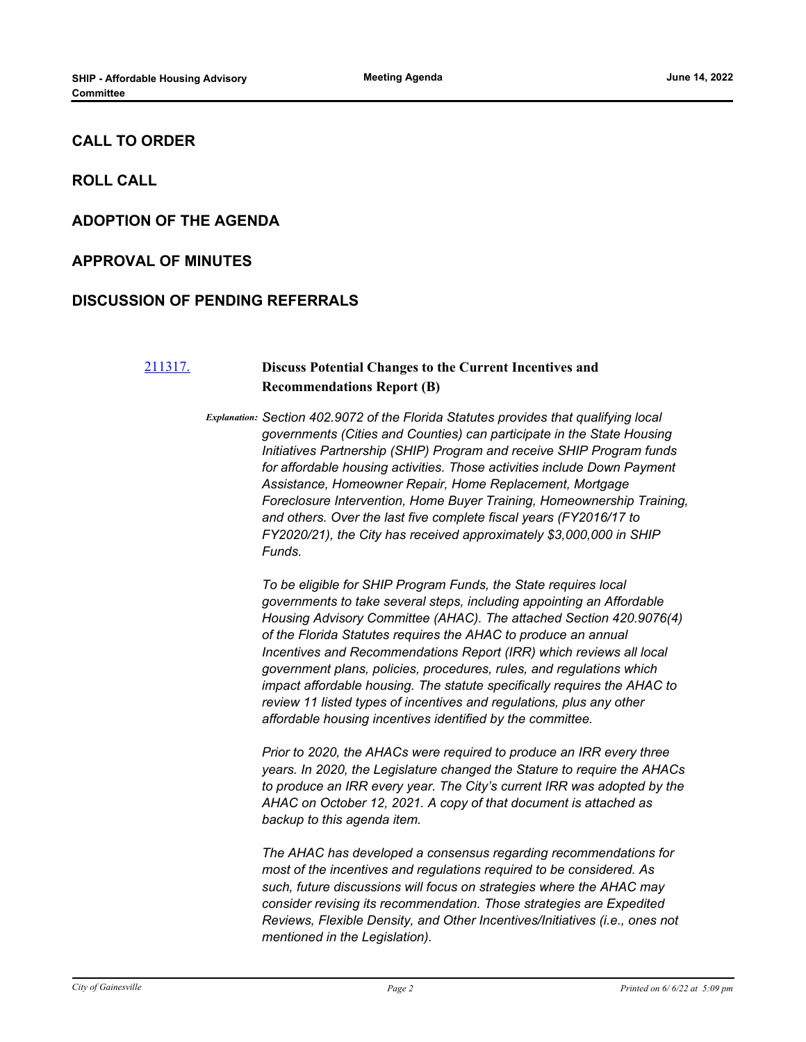#### **CALL TO ORDER**

**ROLL CALL**

#### **ADOPTION OF THE AGENDA**

#### **APPROVAL OF MINUTES**

#### **DISCUSSION OF PENDING REFERRALS**

### [211317.](http://gainesville.legistar.com/gateway.aspx?m=l&id=/matter.aspx?key=34099) **Discuss Potential Changes to the Current Incentives and Recommendations Report (B)**

*Explanation: Section 402.9072 of the Florida Statutes provides that qualifying local governments (Cities and Counties) can participate in the State Housing Initiatives Partnership (SHIP) Program and receive SHIP Program funds for affordable housing activities. Those activities include Down Payment Assistance, Homeowner Repair, Home Replacement, Mortgage Foreclosure Intervention, Home Buyer Training, Homeownership Training, and others. Over the last five complete fiscal years (FY2016/17 to FY2020/21), the City has received approximately \$3,000,000 in SHIP Funds.*

> *To be eligible for SHIP Program Funds, the State requires local governments to take several steps, including appointing an Affordable Housing Advisory Committee (AHAC). The attached Section 420.9076(4) of the Florida Statutes requires the AHAC to produce an annual Incentives and Recommendations Report (IRR) which reviews all local government plans, policies, procedures, rules, and regulations which impact affordable housing. The statute specifically requires the AHAC to review 11 listed types of incentives and regulations, plus any other affordable housing incentives identified by the committee.*

*Prior to 2020, the AHACs were required to produce an IRR every three years. In 2020, the Legislature changed the Stature to require the AHACs to produce an IRR every year. The City's current IRR was adopted by the AHAC on October 12, 2021. A copy of that document is attached as backup to this agenda item.*

*The AHAC has developed a consensus regarding recommendations for most of the incentives and regulations required to be considered. As such, future discussions will focus on strategies where the AHAC may consider revising its recommendation. Those strategies are Expedited Reviews, Flexible Density, and Other Incentives/Initiatives (i.e., ones not mentioned in the Legislation).*